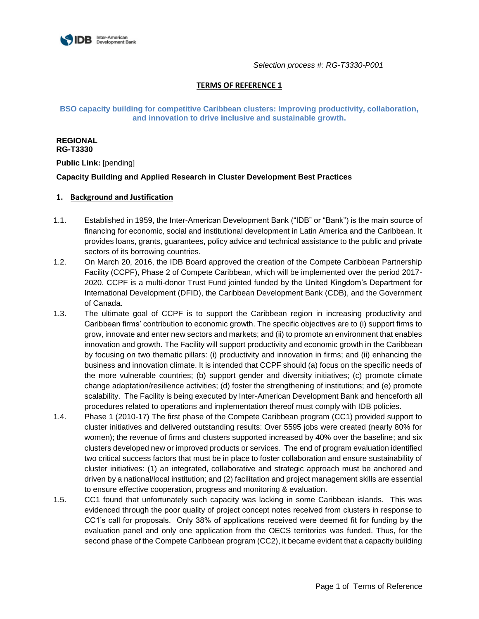

*Selection process #: RG-T3330-P001*

# **TERMS OF REFERENCE 1**

# **BSO capacity building for competitive Caribbean clusters: Improving productivity, collaboration, and innovation to drive inclusive and sustainable growth.**

## **REGIONAL RG-T3330**

**Public Link: [pending]** 

# **Capacity Building and Applied Research in Cluster Development Best Practices**

# **1. Background and Justification**

- 1.1. Established in 1959, the Inter-American Development Bank ("IDB" or "Bank") is the main source of financing for economic, social and institutional development in Latin America and the Caribbean. It provides loans, grants, guarantees, policy advice and technical assistance to the public and private sectors of its borrowing countries.
- 1.2. On March 20, 2016, the IDB Board approved the creation of the Compete Caribbean Partnership Facility (CCPF), Phase 2 of Compete Caribbean, which will be implemented over the period 2017- 2020. CCPF is a multi-donor Trust Fund jointed funded by the United Kingdom's Department for International Development (DFID), the Caribbean Development Bank (CDB), and the Government of Canada.
- 1.3. The ultimate goal of CCPF is to support the Caribbean region in increasing productivity and Caribbean firms' contribution to economic growth. The specific objectives are to (i) support firms to grow, innovate and enter new sectors and markets; and (ii) to promote an environment that enables innovation and growth. The Facility will support productivity and economic growth in the Caribbean by focusing on two thematic pillars: (i) productivity and innovation in firms; and (ii) enhancing the business and innovation climate. It is intended that CCPF should (a) focus on the specific needs of the more vulnerable countries; (b) support gender and diversity initiatives; (c) promote climate change adaptation/resilience activities; (d) foster the strengthening of institutions; and (e) promote scalability. The Facility is being executed by Inter-American Development Bank and henceforth all procedures related to operations and implementation thereof must comply with IDB policies.
- 1.4. Phase 1 (2010-17) The first phase of the Compete Caribbean program (CC1) provided support to cluster initiatives and delivered outstanding results: Over 5595 jobs were created (nearly 80% for women); the revenue of firms and clusters supported increased by 40% over the baseline; and six clusters developed new or improved products or services. The end of program evaluation identified two critical success factors that must be in place to foster collaboration and ensure sustainability of cluster initiatives: (1) an integrated, collaborative and strategic approach must be anchored and driven by a national/local institution; and (2) facilitation and project management skills are essential to ensure effective cooperation, progress and monitoring & evaluation.
- 1.5. CC1 found that unfortunately such capacity was lacking in some Caribbean islands. This was evidenced through the poor quality of project concept notes received from clusters in response to CC1's call for proposals. Only 38% of applications received were deemed fit for funding by the evaluation panel and only one application from the OECS territories was funded. Thus, for the second phase of the Compete Caribbean program (CC2), it became evident that a capacity building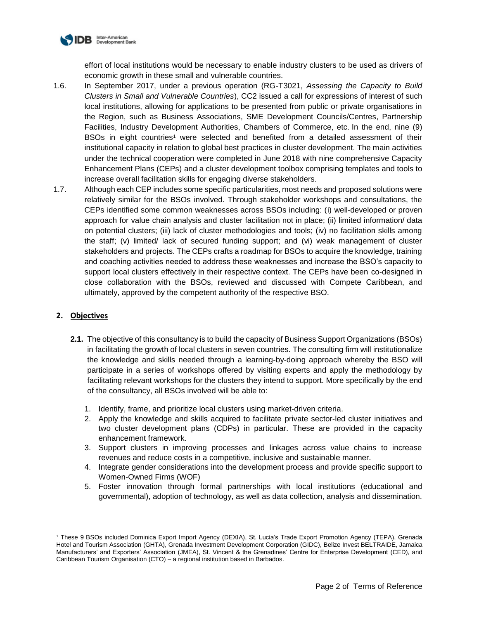

effort of local institutions would be necessary to enable industry clusters to be used as drivers of economic growth in these small and vulnerable countries.

- 1.6. In September 2017, under a previous operation (RG-T3021, *Assessing the Capacity to Build Clusters in Small and Vulnerable Countries*), CC2 issued a call for expressions of interest of such local institutions, allowing for applications to be presented from public or private organisations in the Region, such as Business Associations, SME Development Councils/Centres, Partnership Facilities, Industry Development Authorities, Chambers of Commerce, etc. In the end, nine (9) BSOs in eight countries<sup>1</sup> were selected and benefited from a detailed assessment of their institutional capacity in relation to global best practices in cluster development. The main activities under the technical cooperation were completed in June 2018 with nine comprehensive Capacity Enhancement Plans (CEPs) and a cluster development toolbox comprising templates and tools to increase overall facilitation skills for engaging diverse stakeholders.
- 1.7. Although each CEP includes some specific particularities, most needs and proposed solutions were relatively similar for the BSOs involved. Through stakeholder workshops and consultations, the CEPs identified some common weaknesses across BSOs including: (i) well-developed or proven approach for value chain analysis and cluster facilitation not in place; (ii) limited information/ data on potential clusters; (iii) lack of cluster methodologies and tools; (iv) no facilitation skills among the staff; (v) limited/ lack of secured funding support; and (vi) weak management of cluster stakeholders and projects. The CEPs crafts a roadmap for BSOs to acquire the knowledge, training and coaching activities needed to address these weaknesses and increase the BSO's capacity to support local clusters effectively in their respective context. The CEPs have been co-designed in close collaboration with the BSOs, reviewed and discussed with Compete Caribbean, and ultimately, approved by the competent authority of the respective BSO.

## **2. Objectives**

l

- **2.1.** The objective of this consultancy is to build the capacity of Business Support Organizations (BSOs) in facilitating the growth of local clusters in seven countries. The consulting firm will institutionalize the knowledge and skills needed through a learning-by-doing approach whereby the BSO will participate in a series of workshops offered by visiting experts and apply the methodology by facilitating relevant workshops for the clusters they intend to support. More specifically by the end of the consultancy, all BSOs involved will be able to:
	- 1. Identify, frame, and prioritize local clusters using market-driven criteria.
	- 2. Apply the knowledge and skills acquired to facilitate private sector-led cluster initiatives and two cluster development plans (CDPs) in particular. These are provided in the capacity enhancement framework.
	- 3. Support clusters in improving processes and linkages across value chains to increase revenues and reduce costs in a competitive, inclusive and sustainable manner.
	- 4. Integrate gender considerations into the development process and provide specific support to Women-Owned Firms (WOF)
	- 5. Foster innovation through formal partnerships with local institutions (educational and governmental), adoption of technology, as well as data collection, analysis and dissemination.

<sup>1</sup> These 9 BSOs included Dominica Export Import Agency (DEXIA), St. Lucia's Trade Export Promotion Agency (TEPA), Grenada Hotel and Tourism Association (GHTA), Grenada Investment Development Corporation (GIDC), Belize Invest BELTRAIDE, Jamaica Manufacturers' and Exporters' Association (JMEA), St. Vincent & the Grenadines' Centre for Enterprise Development (CED), and Caribbean Tourism Organisation (CTO) – a regional institution based in Barbados.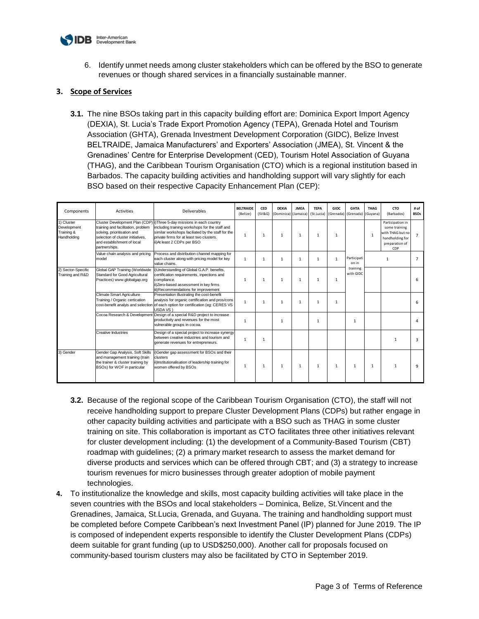

6. Identify unmet needs among cluster stakeholders which can be offered by the BSO to generate revenues or though shared services in a financially sustainable manner.

## **3. Scope of Services**

**3.1.** The nine BSOs taking part in this capacity building effort are: Dominica Export Import Agency (DEXIA), St. Lucia's Trade Export Promotion Agency (TEPA), Grenada Hotel and Tourism Association (GHTA), Grenada Investment Development Corporation (GIDC), Belize Invest BELTRAIDE, Jamaica Manufacturers' and Exporters' Association (JMEA), St. Vincent & the Grenadines' Centre for Enterprise Development (CED), Tourism Hotel Association of Guyana (THAG), and the Caribbean Tourism Organisation (CTO) which is a regional institution based in Barbados. The capacity building activities and handholding support will vary slightly for each BSO based on their respective Capacity Enhancement Plan (CEP):

| Components                                             | <b>Activities</b>                                                                                                                                     | Deliverables                                                                                                                                                                                                                                             | <b>BELTRAIDE</b><br>(Belize) | CED<br>(SV&G) | <b>DEXIA</b><br>(Dominica) | <b>JMEA</b><br>(Jamaica) | <b>TEPA</b><br>(St.Lucia) | GIDC         | <b>GHTA</b><br>(Grenada) (Grenada)            | <b>THAG</b><br>(Guyana) | <b>CTO</b><br>(Barbados)                                                                          | # of<br><b>BSOs</b> |
|--------------------------------------------------------|-------------------------------------------------------------------------------------------------------------------------------------------------------|----------------------------------------------------------------------------------------------------------------------------------------------------------------------------------------------------------------------------------------------------------|------------------------------|---------------|----------------------------|--------------------------|---------------------------|--------------|-----------------------------------------------|-------------------------|---------------------------------------------------------------------------------------------------|---------------------|
| 1) Cluster<br>Development<br>Training &<br>Handholding | training and facilitation, problem<br>solving, prioritisation and<br>selection of cluster initiatives.<br>and establishment of local<br>partnerships. | Cluster Development Plan (CDP) i) Three 5-day missions in each country<br>including training workshops for the staff and<br>similar workshops faciliated by the staff for the<br>private firms for at least two clusters.<br>ii) At least 2 CDPs per BSO | 1                            | $\mathbf{1}$  | 1                          | $\mathbf{1}$             | $\mathbf{1}$              | 1            | Participati<br>on in<br>training<br>with GIDC | 1                       | Participation in<br>some training<br>with THAG but no<br>handholding for<br>preparation of<br>CDP | $\overline{7}$      |
|                                                        | Value chain analysis and pricing<br>model                                                                                                             | Process and distribution channel mapping for<br>each cluster along with pricing model for key<br>value chains.                                                                                                                                           | $\mathbf{1}$                 | $\mathbf{1}$  | $\mathbf{1}$               | 1                        | 1                         | $\mathbf{1}$ |                                               |                         | 1                                                                                                 | $\overline{7}$      |
| 2) Sector-Specific<br>Training and R&D                 | Global GAP Training (Worldwide<br>Standard for Good Agricultural<br>Practices) www.globalgap.org                                                      | i)Understanding of Global G.A.P. benefits,<br>certification requirements, inpections and<br>compliance.<br>ii)Zero-based assessment in key firms<br>iii)Recommendations for improvement                                                                  | 1                            | $\mathbf{1}$  | $\mathbf{1}$               | $\mathbf{1}$             | $\mathbf{1}$              | $\mathbf{1}$ |                                               |                         |                                                                                                   | 6                   |
|                                                        | <b>Climate Smart Agriculture</b><br>Training / Organic certication                                                                                    | Presentation illustrating the cost-benefit<br>analysis for organic certification and pros/cons<br>cost-benefit analyis and selection of each option for certification (eq: CERES VS<br>USDA VS                                                           | 1                            | $\mathbf{1}$  | 1                          | $\mathbf{1}$             | $\mathbf{1}$              | 1            |                                               |                         |                                                                                                   | 6                   |
|                                                        |                                                                                                                                                       | Cocoa Research & Development Design of a special R&D project to increase<br>productivity and revenues for the most<br>vulnerable groups in cocoa.                                                                                                        | $\mathbf{1}$                 |               | $\mathbf{1}$               |                          | $\mathbf{1}$              |              | $\mathbf{1}$                                  |                         |                                                                                                   | 4                   |
|                                                        | <b>Creative Industries</b>                                                                                                                            | Design of a special project to increase synergy<br>between creative industries and tourism and<br>generate revenues for entrepreneurs.                                                                                                                   | $\mathbf{1}$                 | $\mathbf{1}$  |                            |                          |                           |              |                                               |                         |                                                                                                   | 3                   |
| 3) Gender                                              | Gender Gap Analysis, Soft Skills<br>and management training (train<br>the trainer & cluster training by<br>BSOs) for WOF in particular                | i)Gender gap assessment for BSOs and their<br><b>clusters</b><br>ii) Institutionalisation of leadership training for<br>women offered by BSOs                                                                                                            | 1                            | 1             | $\mathbf{1}$               | 1                        | 1                         | 1            | 1                                             | 1                       |                                                                                                   | 9                   |

- **3.2.** Because of the regional scope of the Caribbean Tourism Organisation (CTO), the staff will not receive handholding support to prepare Cluster Development Plans (CDPs) but rather engage in other capacity building activities and participate with a BSO such as THAG in some cluster training on site. This collaboration is important as CTO facilitates three other initiatives relevant for cluster development including: (1) the development of a Community-Based Tourism (CBT) roadmap with guidelines; (2) a primary market research to assess the market demand for diverse products and services which can be offered through CBT; and (3) a strategy to increase tourism revenues for micro businesses through greater adoption of mobile payment technologies.
- **4.** To institutionalize the knowledge and skills, most capacity building activities will take place in the seven countries with the BSOs and local stakeholders – Dominica, Belize, St.Vincent and the Grenadines, Jamaica, St.Lucia, Grenada, and Guyana. The training and handholding support must be completed before Compete Caribbean's next Investment Panel (IP) planned for June 2019. The IP is composed of independent experts responsible to identify the Cluster Development Plans (CDPs) deem suitable for grant funding (up to USD\$250,000). Another call for proposals focused on community-based tourism clusters may also be facilitated by CTO in September 2019.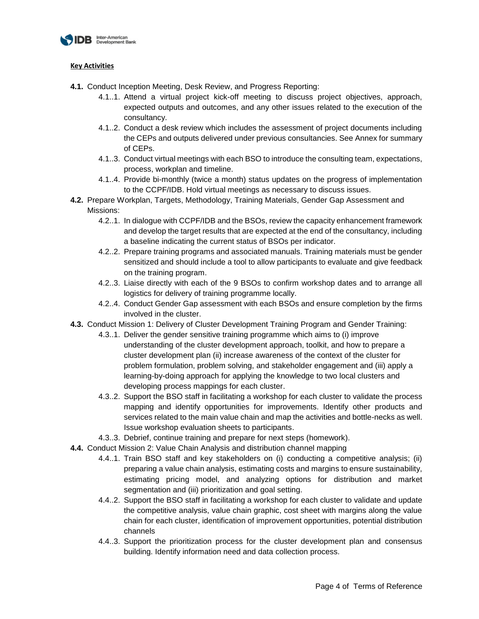

# **Key Activities**

- **4.1.** Conduct Inception Meeting, Desk Review, and Progress Reporting:
	- 4.1..1. Attend a virtual project kick-off meeting to discuss project objectives, approach, expected outputs and outcomes, and any other issues related to the execution of the consultancy.
	- 4.1..2. Conduct a desk review which includes the assessment of project documents including the CEPs and outputs delivered under previous consultancies. See Annex for summary of CEPs.
	- 4.1..3. Conduct virtual meetings with each BSO to introduce the consulting team, expectations, process, workplan and timeline.
	- 4.1..4. Provide bi-monthly (twice a month) status updates on the progress of implementation to the CCPF/IDB. Hold virtual meetings as necessary to discuss issues.
- **4.2.** Prepare Workplan, Targets, Methodology, Training Materials, Gender Gap Assessment and Missions:
	- 4.2..1. In dialogue with CCPF/IDB and the BSOs, review the capacity enhancement framework and develop the target results that are expected at the end of the consultancy, including a baseline indicating the current status of BSOs per indicator.
	- 4.2..2. Prepare training programs and associated manuals. Training materials must be gender sensitized and should include a tool to allow participants to evaluate and give feedback on the training program.
	- 4.2..3. Liaise directly with each of the 9 BSOs to confirm workshop dates and to arrange all logistics for delivery of training programme locally.
	- 4.2..4. Conduct Gender Gap assessment with each BSOs and ensure completion by the firms involved in the cluster.
- **4.3.** Conduct Mission 1: Delivery of Cluster Development Training Program and Gender Training:
	- 4.3..1. Deliver the gender sensitive training programme which aims to (i) improve understanding of the cluster development approach, toolkit, and how to prepare a cluster development plan (ii) increase awareness of the context of the cluster for problem formulation, problem solving, and stakeholder engagement and (iii) apply a learning-by-doing approach for applying the knowledge to two local clusters and developing process mappings for each cluster.
	- 4.3..2. Support the BSO staff in facilitating a workshop for each cluster to validate the process mapping and identify opportunities for improvements. Identify other products and services related to the main value chain and map the activities and bottle-necks as well. Issue workshop evaluation sheets to participants.
	- 4.3..3. Debrief, continue training and prepare for next steps (homework).
- **4.4.** Conduct Mission 2: Value Chain Analysis and distribution channel mapping
	- 4.4..1. Train BSO staff and key stakeholders on (i) conducting a competitive analysis; (ii) preparing a value chain analysis, estimating costs and margins to ensure sustainability, estimating pricing model, and analyzing options for distribution and market segmentation and (iii) prioritization and goal setting.
	- 4.4..2. Support the BSO staff in facilitating a workshop for each cluster to validate and update the competitive analysis, value chain graphic, cost sheet with margins along the value chain for each cluster, identification of improvement opportunities, potential distribution channels
	- 4.4..3. Support the prioritization process for the cluster development plan and consensus building. Identify information need and data collection process.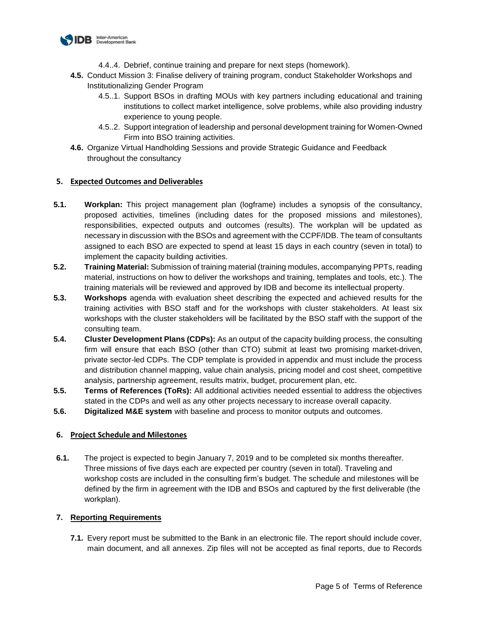

- 4.4..4. Debrief, continue training and prepare for next steps (homework).
- **4.5.** Conduct Mission 3: Finalise delivery of training program, conduct Stakeholder Workshops and Institutionalizing Gender Program
	- 4.5..1. Support BSOs in drafting MOUs with key partners including educational and training institutions to collect market intelligence, solve problems, while also providing industry experience to young people.
	- 4.5..2. Support integration of leadership and personal development training for Women-Owned Firm into BSO training activities.
- **4.6.** Organize Virtual Handholding Sessions and provide Strategic Guidance and Feedback throughout the consultancy

# **5. Expected Outcomes and Deliverables**

- **5.1. Workplan:** This project management plan (logframe) includes a synopsis of the consultancy, proposed activities, timelines (including dates for the proposed missions and milestones), responsibilities, expected outputs and outcomes (results). The workplan will be updated as necessary in discussion with the BSOs and agreement with the CCPF/IDB. The team of consultants assigned to each BSO are expected to spend at least 15 days in each country (seven in total) to implement the capacity building activities.
- **5.2. Training Material:** Submission of training material (training modules, accompanying PPTs, reading material, instructions on how to deliver the workshops and training, templates and tools, etc.). The training materials will be reviewed and approved by IDB and become its intellectual property.
- **5.3. Workshops** agenda with evaluation sheet describing the expected and achieved results for the training activities with BSO staff and for the workshops with cluster stakeholders. At least six workshops with the cluster stakeholders will be facilitated by the BSO staff with the support of the consulting team.
- **5.4. Cluster Development Plans (CDPs):** As an output of the capacity building process, the consulting firm will ensure that each BSO (other than CTO) submit at least two promising market-driven, private sector-led CDPs. The CDP template is provided in appendix and must include the process and distribution channel mapping, value chain analysis, pricing model and cost sheet, competitive analysis, partnership agreement, results matrix, budget, procurement plan, etc.
- **5.5. Terms of References (ToRs):** All additional activities needed essential to address the objectives stated in the CDPs and well as any other projects necessary to increase overall capacity.
- **5.6. Digitalized M&E system** with baseline and process to monitor outputs and outcomes.

## **6. Project Schedule and Milestones**

**6.1.** The project is expected to begin January 7, 2019 and to be completed six months thereafter. Three missions of five days each are expected per country (seven in total). Traveling and workshop costs are included in the consulting firm's budget. The schedule and milestones will be defined by the firm in agreement with the IDB and BSOs and captured by the first deliverable (the workplan).

## **7. Reporting Requirements**

**7.1.** Every report must be submitted to the Bank in an electronic file. The report should include cover, main document, and all annexes. Zip files will not be accepted as final reports, due to Records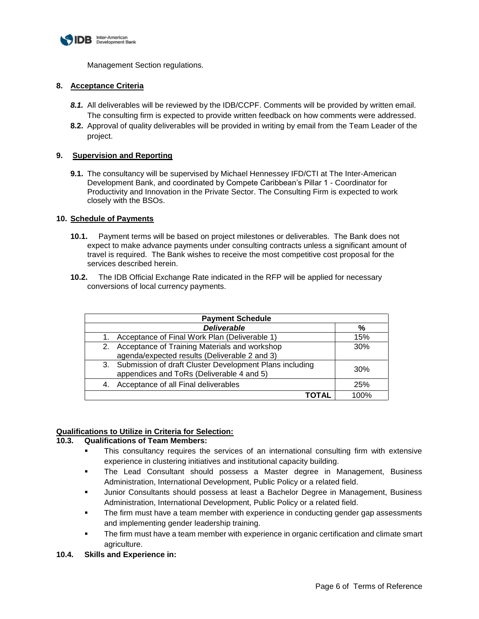

Management Section regulations.

# **8. Acceptance Criteria**

- **8.1.** All deliverables will be reviewed by the IDB/CCPF. Comments will be provided by written email. The consulting firm is expected to provide written feedback on how comments were addressed.
- **8.2.** Approval of quality deliverables will be provided in writing by email from the Team Leader of the project.

# **9. Supervision and Reporting**

**9.1.** The consultancy will be supervised by Michael Hennessey IFD/CTI at The Inter-American Development Bank, and coordinated by Compete Caribbean's Pillar 1 - Coordinator for Productivity and Innovation in the Private Sector. The Consulting Firm is expected to work closely with the BSOs.

## **10. Schedule of Payments**

- **10.1.** Payment terms will be based on project milestones or deliverables. The Bank does not expect to make advance payments under consulting contracts unless a significant amount of travel is required. The Bank wishes to receive the most competitive cost proposal for the services described herein.
- **10.2.** The IDB Official Exchange Rate indicated in the RFP will be applied for necessary conversions of local currency payments.

| <b>Payment Schedule</b> |                                                                                                         |      |  |  |  |
|-------------------------|---------------------------------------------------------------------------------------------------------|------|--|--|--|
|                         | <b>Deliverable</b>                                                                                      | %    |  |  |  |
|                         | Acceptance of Final Work Plan (Deliverable 1)                                                           | 15%  |  |  |  |
|                         | 2. Acceptance of Training Materials and workshop<br>agenda/expected results (Deliverable 2 and 3)       | 30%  |  |  |  |
|                         | 3. Submission of draft Cluster Development Plans including<br>appendices and ToRs (Deliverable 4 and 5) | 30%  |  |  |  |
| 4.                      | Acceptance of all Final deliverables                                                                    | 25%  |  |  |  |
|                         |                                                                                                         | 100% |  |  |  |

# **Qualifications to Utilize in Criteria for Selection:**

# **10.3. Qualifications of Team Members:**

- This consultancy requires the services of an international consulting firm with extensive experience in clustering initiatives and institutional capacity building.
- The Lead Consultant should possess a Master degree in Management, Business Administration, International Development, Public Policy or a related field.
- Junior Consultants should possess at least a Bachelor Degree in Management, Business Administration, International Development, Public Policy or a related field.
- **•** The firm must have a team member with experience in conducting gender gap assessments and implementing gender leadership training.
- The firm must have a team member with experience in organic certification and climate smart agriculture.

## **10.4. Skills and Experience in:**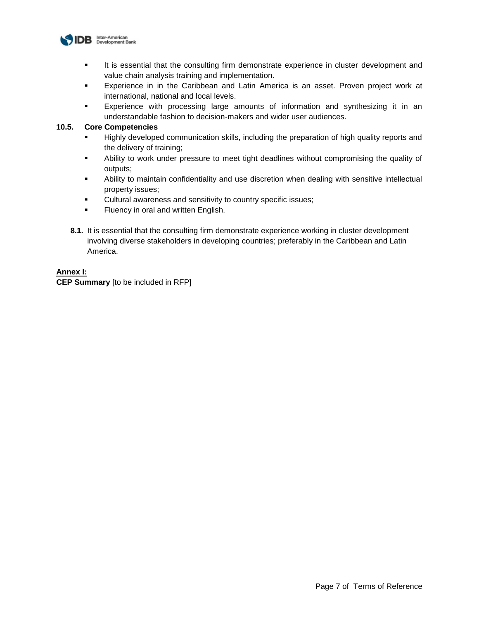

- It is essential that the consulting firm demonstrate experience in cluster development and value chain analysis training and implementation.
- Experience in in the Caribbean and Latin America is an asset. Proven project work at international, national and local levels.
- Experience with processing large amounts of information and synthesizing it in an understandable fashion to decision-makers and wider user audiences.

## **10.5. Core Competencies**

- Highly developed communication skills, including the preparation of high quality reports and the delivery of training;
- Ability to work under pressure to meet tight deadlines without compromising the quality of outputs;
- **■** Ability to maintain confidentiality and use discretion when dealing with sensitive intellectual property issues;
- Cultural awareness and sensitivity to country specific issues;
- **•** Fluency in oral and written English.
- **8.1.** It is essential that the consulting firm demonstrate experience working in cluster development involving diverse stakeholders in developing countries; preferably in the Caribbean and Latin America.

# **Annex I:**

**CEP Summary** [to be included in RFP]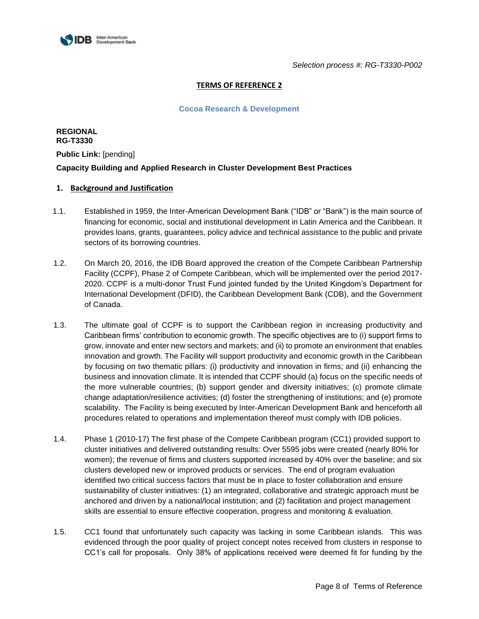

## **TERMS OF REFERENCE 2**

#### **Cocoa Research & Development**

**REGIONAL RG-T3330**

**Public Link: [pending]** 

# **Capacity Building and Applied Research in Cluster Development Best Practices**

## **1. Background and Justification**

- 1.1. Established in 1959, the Inter-American Development Bank ("IDB" or "Bank") is the main source of financing for economic, social and institutional development in Latin America and the Caribbean. It provides loans, grants, guarantees, policy advice and technical assistance to the public and private sectors of its borrowing countries.
- 1.2. On March 20, 2016, the IDB Board approved the creation of the Compete Caribbean Partnership Facility (CCPF), Phase 2 of Compete Caribbean, which will be implemented over the period 2017- 2020. CCPF is a multi-donor Trust Fund jointed funded by the United Kingdom's Department for International Development (DFID), the Caribbean Development Bank (CDB), and the Government of Canada.
- 1.3. The ultimate goal of CCPF is to support the Caribbean region in increasing productivity and Caribbean firms' contribution to economic growth. The specific objectives are to (i) support firms to grow, innovate and enter new sectors and markets; and (ii) to promote an environment that enables innovation and growth. The Facility will support productivity and economic growth in the Caribbean by focusing on two thematic pillars: (i) productivity and innovation in firms; and (ii) enhancing the business and innovation climate. It is intended that CCPF should (a) focus on the specific needs of the more vulnerable countries; (b) support gender and diversity initiatives; (c) promote climate change adaptation/resilience activities; (d) foster the strengthening of institutions; and (e) promote scalability. The Facility is being executed by Inter-American Development Bank and henceforth all procedures related to operations and implementation thereof must comply with IDB policies.
- 1.4. Phase 1 (2010-17) The first phase of the Compete Caribbean program (CC1) provided support to cluster initiatives and delivered outstanding results: Over 5595 jobs were created (nearly 80% for women); the revenue of firms and clusters supported increased by 40% over the baseline; and six clusters developed new or improved products or services. The end of program evaluation identified two critical success factors that must be in place to foster collaboration and ensure sustainability of cluster initiatives: (1) an integrated, collaborative and strategic approach must be anchored and driven by a national/local institution; and (2) facilitation and project management skills are essential to ensure effective cooperation, progress and monitoring & evaluation.
- 1.5. CC1 found that unfortunately such capacity was lacking in some Caribbean islands. This was evidenced through the poor quality of project concept notes received from clusters in response to CC1's call for proposals. Only 38% of applications received were deemed fit for funding by the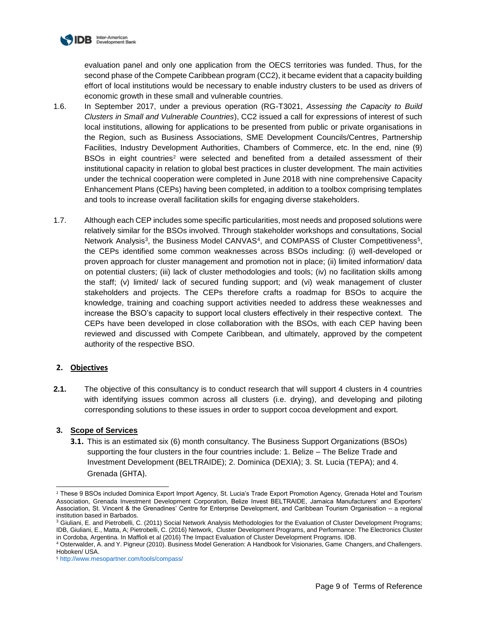

evaluation panel and only one application from the OECS territories was funded. Thus, for the second phase of the Compete Caribbean program (CC2), it became evident that a capacity building effort of local institutions would be necessary to enable industry clusters to be used as drivers of economic growth in these small and vulnerable countries.

- 1.6. In September 2017, under a previous operation (RG-T3021, *Assessing the Capacity to Build Clusters in Small and Vulnerable Countries*), CC2 issued a call for expressions of interest of such local institutions, allowing for applications to be presented from public or private organisations in the Region, such as Business Associations, SME Development Councils/Centres, Partnership Facilities, Industry Development Authorities, Chambers of Commerce, etc. In the end, nine (9) BSOs in eight countries<sup>2</sup> were selected and benefited from a detailed assessment of their institutional capacity in relation to global best practices in cluster development. The main activities under the technical cooperation were completed in June 2018 with nine comprehensive Capacity Enhancement Plans (CEPs) having been completed, in addition to a toolbox comprising templates and tools to increase overall facilitation skills for engaging diverse stakeholders.
- 1.7. Although each CEP includes some specific particularities, most needs and proposed solutions were relatively similar for the BSOs involved. Through stakeholder workshops and consultations, Social Network Analysis<sup>3</sup>, the Business Model CANVAS<sup>4</sup>, and COMPASS of Cluster Competitiveness<sup>5</sup>, the CEPs identified some common weaknesses across BSOs including: (i) well-developed or proven approach for cluster management and promotion not in place; (ii) limited information/ data on potential clusters; (iii) lack of cluster methodologies and tools; (iv) no facilitation skills among the staff; (v) limited/ lack of secured funding support; and (vi) weak management of cluster stakeholders and projects. The CEPs therefore crafts a roadmap for BSOs to acquire the knowledge, training and coaching support activities needed to address these weaknesses and increase the BSO's capacity to support local clusters effectively in their respective context. The CEPs have been developed in close collaboration with the BSOs, with each CEP having been reviewed and discussed with Compete Caribbean, and ultimately, approved by the competent authority of the respective BSO.

# **2. Objectives**

l

**2.1.** The objective of this consultancy is to conduct research that will support 4 clusters in 4 countries with identifying issues common across all clusters (i.e. drying), and developing and piloting corresponding solutions to these issues in order to support cocoa development and export.

## **3. Scope of Services**

**3.1.** This is an estimated six (6) month consultancy. The Business Support Organizations (BSOs) supporting the four clusters in the four countries include: 1. Belize – The Belize Trade and Investment Development (BELTRAIDE); 2. Dominica (DEXIA); 3. St. Lucia (TEPA); and 4. Grenada (GHTA).

<sup>&</sup>lt;sup>2</sup> These 9 BSOs included Dominica Export Import Agency, St. Lucia's Trade Export Promotion Agency, Grenada Hotel and Tourism Association, Grenada Investment Development Corporation, Belize Invest BELTRAIDE, Jamaica Manufacturers' and Exporters' Association, St. Vincent & the Grenadines' Centre for Enterprise Development, and Caribbean Tourism Organisation – a regional institution based in Barbados.

<sup>&</sup>lt;sup>3</sup> Giuliani, E. and Pietrobelli, C. (2011) Social Network Analysis Methodologies for the Evaluation of Cluster Development Programs; IDB, Giuliani, E., Matta, A; Pietrobelli, C. (2016) Network, Cluster Development Programs, and Performance: The Electronics Cluster in Cordoba, Argentina. In Maffioli et al (2016) The Impact Evaluation of Cluster Development Programs. IDB.

<sup>4</sup> Osterwalder, A. and Y. Pigneur (2010). Business Model Generation: A Handbook for Visionaries, Game Changers, and Challengers. Hoboken/ USA.

<sup>5</sup> http://www.mesopartner.com/tools/compass/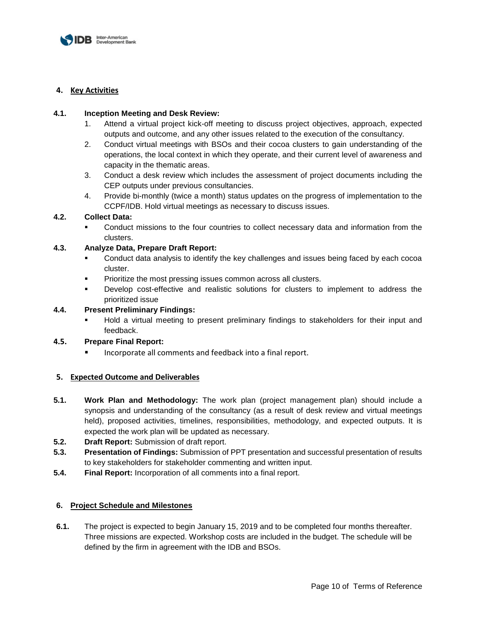

# **4. Key Activities**

# **4.1. Inception Meeting and Desk Review:**

- 1. Attend a virtual project kick-off meeting to discuss project objectives, approach, expected outputs and outcome, and any other issues related to the execution of the consultancy.
- 2. Conduct virtual meetings with BSOs and their cocoa clusters to gain understanding of the operations, the local context in which they operate, and their current level of awareness and capacity in the thematic areas.
- 3. Conduct a desk review which includes the assessment of project documents including the CEP outputs under previous consultancies.
- 4. Provide bi-monthly (twice a month) status updates on the progress of implementation to the CCPF/IDB. Hold virtual meetings as necessary to discuss issues.

# **4.2. Collect Data:**

Conduct missions to the four countries to collect necessary data and information from the clusters.

# **4.3. Analyze Data, Prepare Draft Report:**

- Conduct data analysis to identify the key challenges and issues being faced by each cocoa cluster.
- Prioritize the most pressing issues common across all clusters.
- Develop cost-effective and realistic solutions for clusters to implement to address the prioritized issue

## **4.4. Present Preliminary Findings:**

▪ Hold a virtual meeting to present preliminary findings to stakeholders for their input and feedback.

## **4.5. Prepare Final Report:**

Incorporate all comments and feedback into a final report.

## **5. Expected Outcome and Deliverables**

- **5.1. Work Plan and Methodology:** The work plan (project management plan) should include a synopsis and understanding of the consultancy (as a result of desk review and virtual meetings held), proposed activities, timelines, responsibilities, methodology, and expected outputs. It is expected the work plan will be updated as necessary.
- **5.2. Draft Report:** Submission of draft report.
- **5.3. Presentation of Findings:** Submission of PPT presentation and successful presentation of results to key stakeholders for stakeholder commenting and written input.
- **5.4. Final Report:** Incorporation of all comments into a final report.

## **6. Project Schedule and Milestones**

**6.1.** The project is expected to begin January 15, 2019 and to be completed four months thereafter. Three missions are expected. Workshop costs are included in the budget. The schedule will be defined by the firm in agreement with the IDB and BSOs.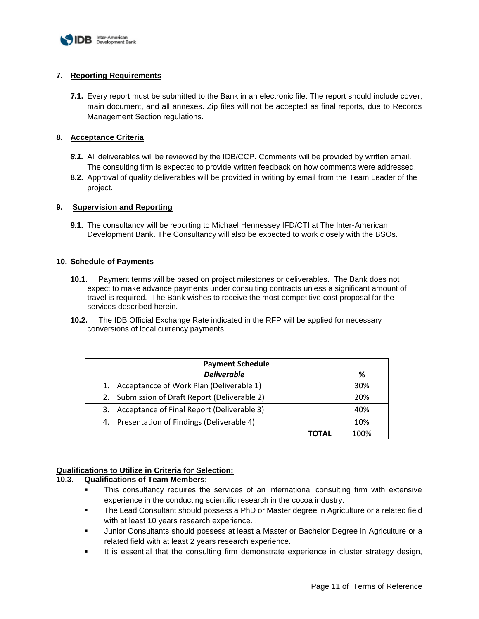

# **7. Reporting Requirements**

**7.1.** Every report must be submitted to the Bank in an electronic file. The report should include cover, main document, and all annexes. Zip files will not be accepted as final reports, due to Records Management Section regulations.

# **8. Acceptance Criteria**

- 8.1. All deliverables will be reviewed by the IDB/CCP. Comments will be provided by written email. The consulting firm is expected to provide written feedback on how comments were addressed.
- **8.2.** Approval of quality deliverables will be provided in writing by email from the Team Leader of the project.

## **9. Supervision and Reporting**

**9.1.** The consultancy will be reporting to Michael Hennessey IFD/CTI at The Inter-American Development Bank. The Consultancy will also be expected to work closely with the BSOs.

#### **10. Schedule of Payments**

- **10.1.** Payment terms will be based on project milestones or deliverables. The Bank does not expect to make advance payments under consulting contracts unless a significant amount of travel is required. The Bank wishes to receive the most competitive cost proposal for the services described herein.
- **10.2.** The IDB Official Exchange Rate indicated in the RFP will be applied for necessary conversions of local currency payments.

| <b>Payment Schedule</b>                          |      |
|--------------------------------------------------|------|
| <b>Deliverable</b>                               | %    |
| Acceptancce of Work Plan (Deliverable 1)         | 30%  |
| 2. Submission of Draft Report (Deliverable 2)    | 20%  |
| Acceptance of Final Report (Deliverable 3)<br>3. | 40%  |
| 4. Presentation of Findings (Deliverable 4)      | 10%  |
| ΓΩΤΑΙ                                            | 100% |

# **Qualifications to Utilize in Criteria for Selection:**

## **10.3. Qualifications of Team Members:**

- This consultancy requires the services of an international consulting firm with extensive experience in the conducting scientific research in the cocoa industry.
- The Lead Consultant should possess a PhD or Master degree in Agriculture or a related field with at least 10 years research experience. .
- Junior Consultants should possess at least a Master or Bachelor Degree in Agriculture or a related field with at least 2 years research experience.
- It is essential that the consulting firm demonstrate experience in cluster strategy design,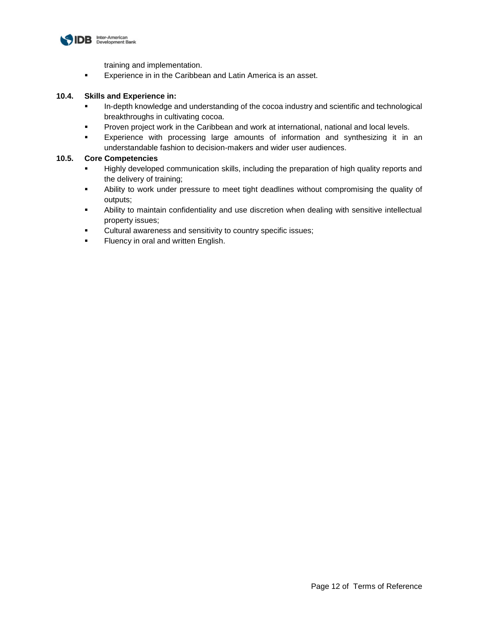

training and implementation.

■ Experience in in the Caribbean and Latin America is an asset.

# **10.4. Skills and Experience in:**

- In-depth knowledge and understanding of the cocoa industry and scientific and technological breakthroughs in cultivating cocoa.
- **•** Proven project work in the Caribbean and work at international, national and local levels.
- Experience with processing large amounts of information and synthesizing it in an understandable fashion to decision-makers and wider user audiences.

# **10.5. Core Competencies**

- Highly developed communication skills, including the preparation of high quality reports and the delivery of training;
- **EXECT** Ability to work under pressure to meet tight deadlines without compromising the quality of outputs;
- **■** Ability to maintain confidentiality and use discretion when dealing with sensitive intellectual property issues;
- Cultural awareness and sensitivity to country specific issues;
- **EXECUTE:** Fluency in oral and written English.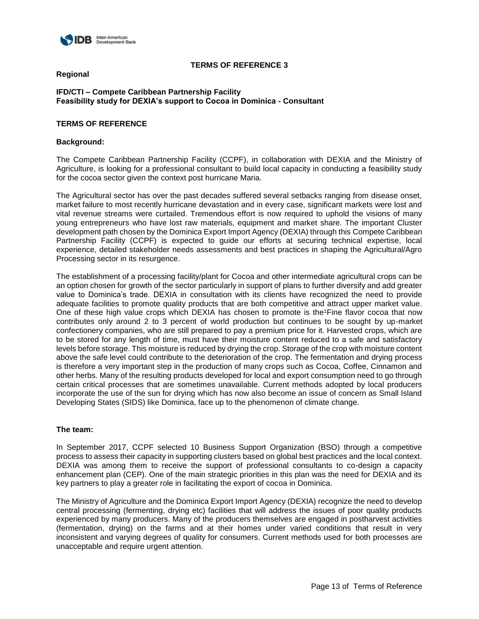

# **TERMS OF REFERENCE 3**

## **Regional**

## **IFD/CTI – Compete Caribbean Partnership Facility Feasibility study for DEXIA's support to Cocoa in Dominica - Consultant**

## **TERMS OF REFERENCE**

## **Background:**

The Compete Caribbean Partnership Facility (CCPF), in collaboration with DEXIA and the Ministry of Agriculture, is looking for a professional consultant to build local capacity in conducting a feasibility study for the cocoa sector given the context post hurricane Maria.

The Agricultural sector has over the past decades suffered several setbacks ranging from disease onset, market failure to most recently hurricane devastation and in every case, significant markets were lost and vital revenue streams were curtailed. Tremendous effort is now required to uphold the visions of many young entrepreneurs who have lost raw materials, equipment and market share. The important Cluster development path chosen by the Dominica Export Import Agency (DEXIA) through this Compete Caribbean Partnership Facility (CCPF) is expected to guide our efforts at securing technical expertise, local experience, detailed stakeholder needs assessments and best practices in shaping the Agricultural/Agro Processing sector in its resurgence.

The establishment of a processing facility/plant for Cocoa and other intermediate agricultural crops can be an option chosen for growth of the sector particularly in support of plans to further diversify and add greater value to Dominica's trade. DEXIA in consultation with its clients have recognized the need to provide adequate facilities to promote quality products that are both competitive and attract upper market value. One of these high value crops which DEXIA has chosen to promote is the<sup>1</sup>Fine flavor cocoa that now contributes only around 2 to 3 percent of world production but continues to be sought by up-market confectionery companies, who are still prepared to pay a premium price for it. Harvested crops, which are to be stored for any length of time, must have their moisture content reduced to a safe and satisfactory levels before storage. This moisture is reduced by drying the crop. Storage of the crop with moisture content above the safe level could contribute to the deterioration of the crop. The fermentation and drying process is therefore a very important step in the production of many crops such as Cocoa, Coffee, Cinnamon and other herbs. Many of the resulting products developed for local and export consumption need to go through certain critical processes that are sometimes unavailable. Current methods adopted by local producers incorporate the use of the sun for drying which has now also become an issue of concern as Small Island Developing States (SIDS) like Dominica, face up to the phenomenon of climate change.

## **The team:**

In September 2017, CCPF selected 10 Business Support Organization (BSO) through a competitive process to assess their capacity in supporting clusters based on global best practices and the local context. DEXIA was among them to receive the support of professional consultants to co-design a capacity enhancement plan (CEP). One of the main strategic priorities in this plan was the need for DEXIA and its key partners to play a greater role in facilitating the export of cocoa in Dominica.

The Ministry of Agriculture and the Dominica Export Import Agency (DEXIA) recognize the need to develop central processing (fermenting, drying etc) facilities that will address the issues of poor quality products experienced by many producers. Many of the producers themselves are engaged in postharvest activities (fermentation, drying) on the farms and at their homes under varied conditions that result in very inconsistent and varying degrees of quality for consumers. Current methods used for both processes are unacceptable and require urgent attention.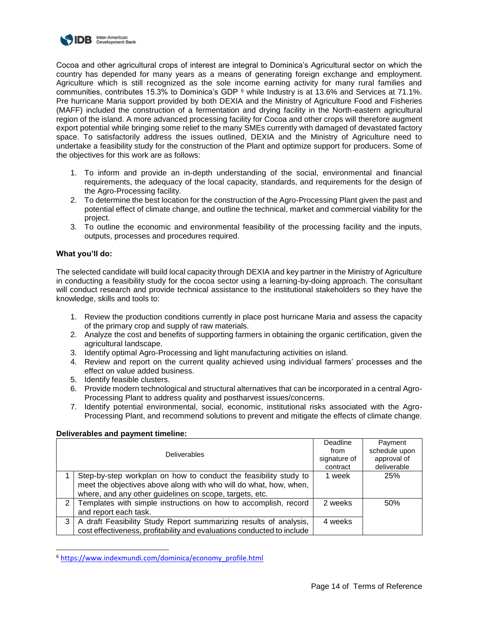

Cocoa and other agricultural crops of interest are integral to Dominica's Agricultural sector on which the country has depended for many years as a means of generating foreign exchange and employment. Agriculture which is still recognized as the sole income earning activity for many rural families and communities, contributes 15.3% to Dominica's GDP <sup>6</sup> while Industry is at 13.6% and Services at 71.1%. Pre hurricane Maria support provided by both DEXIA and the Ministry of Agriculture Food and Fisheries (MAFF) included the construction of a fermentation and drying facility in the North-eastern agricultural region of the island. A more advanced processing facility for Cocoa and other crops will therefore augment export potential while bringing some relief to the many SMEs currently with damaged of devastated factory space. To satisfactorily address the issues outlined, DEXIA and the Ministry of Agriculture need to undertake a feasibility study for the construction of the Plant and optimize support for producers. Some of the objectives for this work are as follows:

- 1. To inform and provide an in-depth understanding of the social, environmental and financial requirements, the adequacy of the local capacity, standards, and requirements for the design of the Agro-Processing facility.
- 2. To determine the best location for the construction of the Agro-Processing Plant given the past and potential effect of climate change, and outline the technical, market and commercial viability for the project.
- 3. To outline the economic and environmental feasibility of the processing facility and the inputs, outputs, processes and procedures required.

# **What you'll do:**

l

The selected candidate will build local capacity through DEXIA and key partner in the Ministry of Agriculture in conducting a feasibility study for the cocoa sector using a learning-by-doing approach. The consultant will conduct research and provide technical assistance to the institutional stakeholders so they have the knowledge, skills and tools to:

- 1. Review the production conditions currently in place post hurricane Maria and assess the capacity of the primary crop and supply of raw materials.
- 2. Analyze the cost and benefits of supporting farmers in obtaining the organic certification, given the agricultural landscape.
- 3. Identify optimal Agro-Processing and light manufacturing activities on island.
- 4. Review and report on the current quality achieved using individual farmers' processes and the effect on value added business.
- 5. Identify feasible clusters.
- 6. Provide modern technological and structural alternatives that can be incorporated in a central Agro-Processing Plant to address quality and postharvest issues/concerns.
- 7. Identify potential environmental, social, economic, institutional risks associated with the Agro-Processing Plant, and recommend solutions to prevent and mitigate the effects of climate change.

## **Deliverables and payment timeline:**

|                | <b>Deliverables</b>                                                                                                                   | Deadline<br>from<br>signature of<br>contract | Payment<br>schedule upon<br>approval of<br>deliverable |
|----------------|---------------------------------------------------------------------------------------------------------------------------------------|----------------------------------------------|--------------------------------------------------------|
|                | Step-by-step workplan on how to conduct the feasibility study to<br>meet the objectives above along with who will do what, how, when, | 1 week                                       | 25%                                                    |
|                | where, and any other guidelines on scope, targets, etc.                                                                               |                                              |                                                        |
| $\overline{2}$ | Templates with simple instructions on how to accomplish, record                                                                       | 2 weeks                                      | 50%                                                    |
|                | and report each task.                                                                                                                 |                                              |                                                        |
| 3              | A draft Feasibility Study Report summarizing results of analysis,                                                                     | 4 weeks                                      |                                                        |
|                | cost effectiveness, profitability and evaluations conducted to include                                                                |                                              |                                                        |

<sup>6</sup> [https://www.indexmundi.com/dominica/economy\\_profile.html](https://www.indexmundi.com/dominica/economy_profile.html)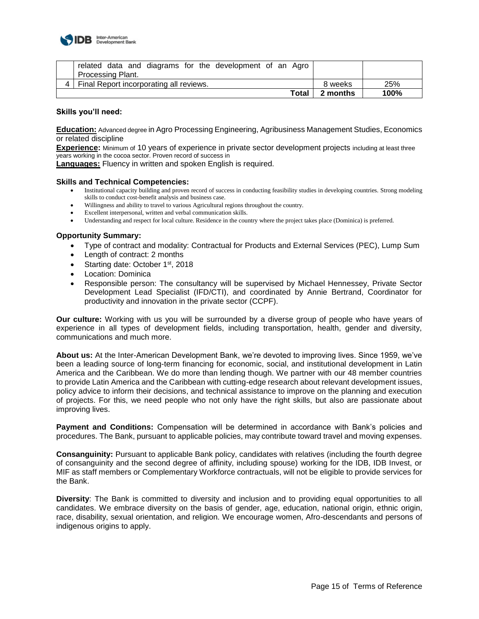

|   | related data and diagrams for the development of an Agro |          |      |
|---|----------------------------------------------------------|----------|------|
|   | Processing Plant.                                        |          |      |
| Δ | Final Report incorporating all reviews.                  | 8 weeks  | 25%  |
|   | Total                                                    | 2 months | 100% |

#### **Skills you'll need:**

**Education:** Advanced degree in Agro Processing Engineering, Agribusiness Management Studies, Economics or related discipline

**Experience:** Minimum of 10 years of experience in private sector development projects including at least three years working in the cocoa sector. Proven record of success in

**Languages:** Fluency in written and spoken English is required.

#### **Skills and Technical Competencies:**

- Institutional capacity building and proven record of success in conducting feasibility studies in developing countries. Strong modeling skills to conduct cost-benefit analysis and business case.
- Willingness and ability to travel to various Agricultural regions throughout the country.
- Excellent interpersonal, written and verbal communication skills.
- Understanding and respect for local culture. Residence in the country where the project takes place (Dominica) is preferred.

#### **Opportunity Summary:**

- Type of contract and modality: Contractual for Products and External Services (PEC), Lump Sum
- Length of contract: 2 months
- Starting date: October 1<sup>st</sup>, 2018
- Location: Dominica
- Responsible person: The consultancy will be supervised by Michael Hennessey, Private Sector Development Lead Specialist (IFD/CTI), and coordinated by Annie Bertrand, Coordinator for productivity and innovation in the private sector (CCPF).

**Our culture:** Working with us you will be surrounded by a diverse group of people who have years of experience in all types of development fields, including transportation, health, gender and diversity, communications and much more.

**About us:** At the Inter-American Development Bank, we're devoted to improving lives. Since 1959, we've been a leading source of long-term financing for economic, social, and institutional development in Latin America and the Caribbean. We do more than lending though. We partner with our 48 member countries to provide Latin America and the Caribbean with cutting-edge research about relevant development issues, policy advice to inform their decisions, and technical assistance to improve on the planning and execution of projects. For this, we need people who not only have the right skills, but also are passionate about improving lives.

**Payment and Conditions:** Compensation will be determined in accordance with Bank's policies and procedures. The Bank, pursuant to applicable policies, may contribute toward travel and moving expenses.

**Consanguinity:** Pursuant to applicable Bank policy, candidates with relatives (including the fourth degree of consanguinity and the second degree of affinity, including spouse) working for the IDB, IDB Invest, or MIF as staff members or Complementary Workforce contractuals, will not be eligible to provide services for the Bank.

**Diversity**: The Bank is committed to diversity and inclusion and to providing equal opportunities to all candidates. We embrace diversity on the basis of gender, age, education, national origin, ethnic origin, race, disability, sexual orientation, and religion. We encourage women, Afro-descendants and persons of indigenous origins to apply.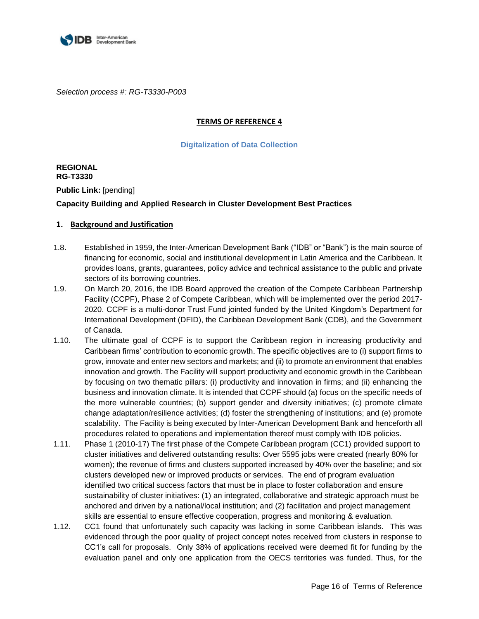

*Selection process #: RG-T3330-P003*

# **TERMS OF REFERENCE 4**

## **Digitalization of Data Collection**

#### **REGIONAL RG-T3330**

**Public Link: [pending]** 

# **Capacity Building and Applied Research in Cluster Development Best Practices**

# **1. Background and Justification**

- 1.8. Established in 1959, the Inter-American Development Bank ("IDB" or "Bank") is the main source of financing for economic, social and institutional development in Latin America and the Caribbean. It provides loans, grants, guarantees, policy advice and technical assistance to the public and private sectors of its borrowing countries.
- 1.9. On March 20, 2016, the IDB Board approved the creation of the Compete Caribbean Partnership Facility (CCPF), Phase 2 of Compete Caribbean, which will be implemented over the period 2017- 2020. CCPF is a multi-donor Trust Fund jointed funded by the United Kingdom's Department for International Development (DFID), the Caribbean Development Bank (CDB), and the Government of Canada.
- 1.10. The ultimate goal of CCPF is to support the Caribbean region in increasing productivity and Caribbean firms' contribution to economic growth. The specific objectives are to (i) support firms to grow, innovate and enter new sectors and markets; and (ii) to promote an environment that enables innovation and growth. The Facility will support productivity and economic growth in the Caribbean by focusing on two thematic pillars: (i) productivity and innovation in firms; and (ii) enhancing the business and innovation climate. It is intended that CCPF should (a) focus on the specific needs of the more vulnerable countries; (b) support gender and diversity initiatives; (c) promote climate change adaptation/resilience activities; (d) foster the strengthening of institutions; and (e) promote scalability. The Facility is being executed by Inter-American Development Bank and henceforth all procedures related to operations and implementation thereof must comply with IDB policies.
- 1.11. Phase 1 (2010-17) The first phase of the Compete Caribbean program (CC1) provided support to cluster initiatives and delivered outstanding results: Over 5595 jobs were created (nearly 80% for women); the revenue of firms and clusters supported increased by 40% over the baseline; and six clusters developed new or improved products or services. The end of program evaluation identified two critical success factors that must be in place to foster collaboration and ensure sustainability of cluster initiatives: (1) an integrated, collaborative and strategic approach must be anchored and driven by a national/local institution; and (2) facilitation and project management skills are essential to ensure effective cooperation, progress and monitoring & evaluation.
- 1.12. CC1 found that unfortunately such capacity was lacking in some Caribbean islands. This was evidenced through the poor quality of project concept notes received from clusters in response to CC1's call for proposals. Only 38% of applications received were deemed fit for funding by the evaluation panel and only one application from the OECS territories was funded. Thus, for the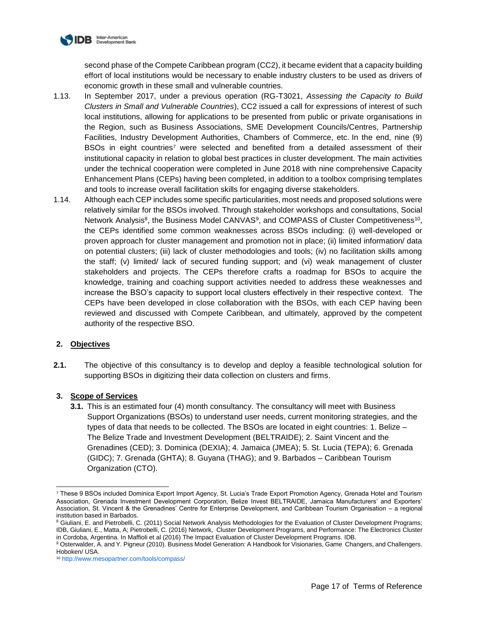

second phase of the Compete Caribbean program (CC2), it became evident that a capacity building effort of local institutions would be necessary to enable industry clusters to be used as drivers of economic growth in these small and vulnerable countries.

- 1.13. In September 2017, under a previous operation (RG-T3021, *Assessing the Capacity to Build Clusters in Small and Vulnerable Countries*), CC2 issued a call for expressions of interest of such local institutions, allowing for applications to be presented from public or private organisations in the Region, such as Business Associations, SME Development Councils/Centres, Partnership Facilities, Industry Development Authorities, Chambers of Commerce, etc. In the end, nine (9) BSOs in eight countries<sup>7</sup> were selected and benefited from a detailed assessment of their institutional capacity in relation to global best practices in cluster development. The main activities under the technical cooperation were completed in June 2018 with nine comprehensive Capacity Enhancement Plans (CEPs) having been completed, in addition to a toolbox comprising templates and tools to increase overall facilitation skills for engaging diverse stakeholders.
- 1.14. Although each CEP includes some specific particularities, most needs and proposed solutions were relatively similar for the BSOs involved. Through stakeholder workshops and consultations, Social Network Analysis<sup>8</sup>, the Business Model CANVAS<sup>9</sup>, and COMPASS of Cluster Competitiveness<sup>10</sup>, the CEPs identified some common weaknesses across BSOs including: (i) well-developed or proven approach for cluster management and promotion not in place; (ii) limited information/ data on potential clusters; (iii) lack of cluster methodologies and tools; (iv) no facilitation skills among the staff; (v) limited/ lack of secured funding support; and (vi) weak management of cluster stakeholders and projects. The CEPs therefore crafts a roadmap for BSOs to acquire the knowledge, training and coaching support activities needed to address these weaknesses and increase the BSO's capacity to support local clusters effectively in their respective context. The CEPs have been developed in close collaboration with the BSOs, with each CEP having been reviewed and discussed with Compete Caribbean, and ultimately, approved by the competent authority of the respective BSO.

# **2. Objectives**

**2.1.** The objective of this consultancy is to develop and deploy a feasible technological solution for supporting BSOs in digitizing their data collection on clusters and firms.

## **3. Scope of Services**

**3.1.** This is an estimated four (4) month consultancy. The consultancy will meet with Business Support Organizations (BSOs) to understand user needs, current monitoring strategies, and the types of data that needs to be collected. The BSOs are located in eight countries: 1. Belize – The Belize Trade and Investment Development (BELTRAIDE); 2. Saint Vincent and the Grenadines (CED); 3. Dominica (DEXIA); 4. Jamaica (JMEA); 5. St. Lucia (TEPA); 6. Grenada (GIDC); 7. Grenada (GHTA); 8. Guyana (THAG); and 9. Barbados – Caribbean Tourism Organization (CTO).

l <sup>7</sup> These 9 BSOs included Dominica Export Import Agency, St. Lucia's Trade Export Promotion Agency, Grenada Hotel and Tourism Association, Grenada Investment Development Corporation, Belize Invest BELTRAIDE, Jamaica Manufacturers' and Exporters' Association, St. Vincent & the Grenadines' Centre for Enterprise Development, and Caribbean Tourism Organisation – a regional institution based in Barbados.

<sup>&</sup>lt;sup>8</sup> Giuliani, E. and Pietrobelli, C. (2011) Social Network Analysis Methodologies for the Evaluation of Cluster Development Programs; IDB, Giuliani, E., Matta, A; Pietrobelli, C. (2016) Network, Cluster Development Programs, and Performance: The Electronics Cluster in Cordoba, Argentina. In Maffioli et al (2016) The Impact Evaluation of Cluster Development Programs. IDB.

<sup>9</sup> Osterwalder, A. and Y. Pigneur (2010). Business Model Generation: A Handbook for Visionaries, Game Changers, and Challengers. Hoboken/ USA.

<sup>10</sup> http://www.mesopartner.com/tools/compass/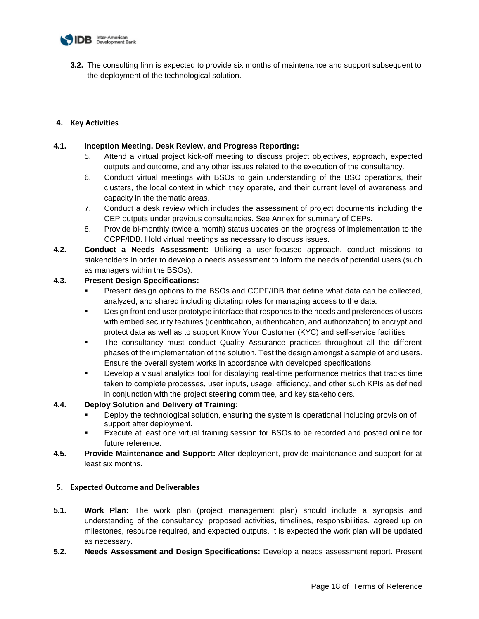

**3.2.** The consulting firm is expected to provide six months of maintenance and support subsequent to the deployment of the technological solution.

# **4. Key Activities**

# **4.1. Inception Meeting, Desk Review, and Progress Reporting:**

- 5. Attend a virtual project kick-off meeting to discuss project objectives, approach, expected outputs and outcome, and any other issues related to the execution of the consultancy.
- 6. Conduct virtual meetings with BSOs to gain understanding of the BSO operations, their clusters, the local context in which they operate, and their current level of awareness and capacity in the thematic areas.
- 7. Conduct a desk review which includes the assessment of project documents including the CEP outputs under previous consultancies. See Annex for summary of CEPs.
- 8. Provide bi-monthly (twice a month) status updates on the progress of implementation to the CCPF/IDB. Hold virtual meetings as necessary to discuss issues.
- **4.2. Conduct a Needs Assessment:** Utilizing a user-focused approach, conduct missions to stakeholders in order to develop a needs assessment to inform the needs of potential users (such as managers within the BSOs).

# **4.3. Present Design Specifications:**

- **Present design options to the BSOs and CCPF/IDB that define what data can be collected,** analyzed, and shared including dictating roles for managing access to the data.
- Design front end user prototype interface that responds to the needs and preferences of users with embed security features (identification, authentication, and authorization) to encrypt and protect data as well as to support Know Your Customer (KYC) and self-service facilities
- The consultancy must conduct Quality Assurance practices throughout all the different phases of the implementation of the solution. Test the design amongst a sample of end users. Ensure the overall system works in accordance with developed specifications.
- Develop a visual analytics tool for displaying real-time performance metrics that tracks time taken to complete processes, user inputs, usage, efficiency, and other such KPIs as defined in conjunction with the project steering committee, and key stakeholders.

# **4.4. Deploy Solution and Delivery of Training:**

- Deploy the technological solution, ensuring the system is operational including provision of support after deployment.
- Execute at least one virtual training session for BSOs to be recorded and posted online for future reference.
- **4.5. Provide Maintenance and Support:** After deployment, provide maintenance and support for at least six months.

## **5. Expected Outcome and Deliverables**

- **5.1. Work Plan:** The work plan (project management plan) should include a synopsis and understanding of the consultancy, proposed activities, timelines, responsibilities, agreed up on milestones, resource required, and expected outputs. It is expected the work plan will be updated as necessary.
- **5.2. Needs Assessment and Design Specifications:** Develop a needs assessment report. Present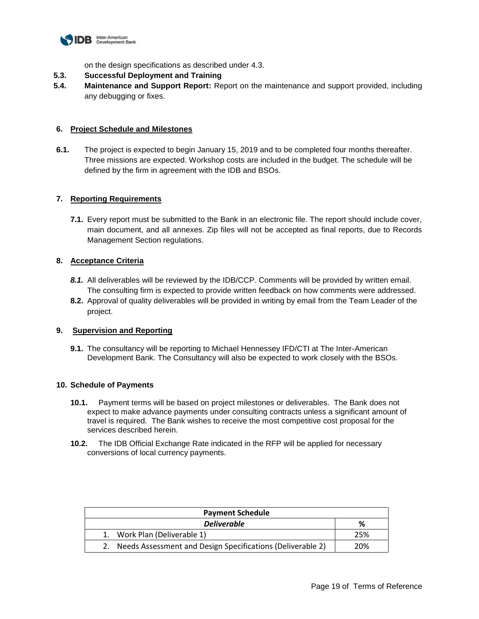

on the design specifications as described under 4.3.

# **5.3. Successful Deployment and Training**

**5.4. Maintenance and Support Report:** Report on the maintenance and support provided, including any debugging or fixes.

# **6. Project Schedule and Milestones**

**6.1.** The project is expected to begin January 15, 2019 and to be completed four months thereafter. Three missions are expected. Workshop costs are included in the budget. The schedule will be defined by the firm in agreement with the IDB and BSOs.

# **7. Reporting Requirements**

**7.1.** Every report must be submitted to the Bank in an electronic file. The report should include cover, main document, and all annexes. Zip files will not be accepted as final reports, due to Records Management Section regulations.

# **8. Acceptance Criteria**

- 8.1. All deliverables will be reviewed by the IDB/CCP. Comments will be provided by written email. The consulting firm is expected to provide written feedback on how comments were addressed.
- **8.2.** Approval of quality deliverables will be provided in writing by email from the Team Leader of the project.

# **9. Supervision and Reporting**

**9.1.** The consultancy will be reporting to Michael Hennessey IFD/CTI at The Inter-American Development Bank. The Consultancy will also be expected to work closely with the BSOs.

# **10. Schedule of Payments**

- **10.1.** Payment terms will be based on project milestones or deliverables. The Bank does not expect to make advance payments under consulting contracts unless a significant amount of travel is required. The Bank wishes to receive the most competitive cost proposal for the services described herein.
- **10.2.** The IDB Official Exchange Rate indicated in the RFP will be applied for necessary conversions of local currency payments.

| <b>Payment Schedule</b>                                    |     |  |  |  |
|------------------------------------------------------------|-----|--|--|--|
| <b>Deliverable</b>                                         | %   |  |  |  |
| 1. Work Plan (Deliverable 1)                               | 25% |  |  |  |
| Needs Assessment and Design Specifications (Deliverable 2) | 20% |  |  |  |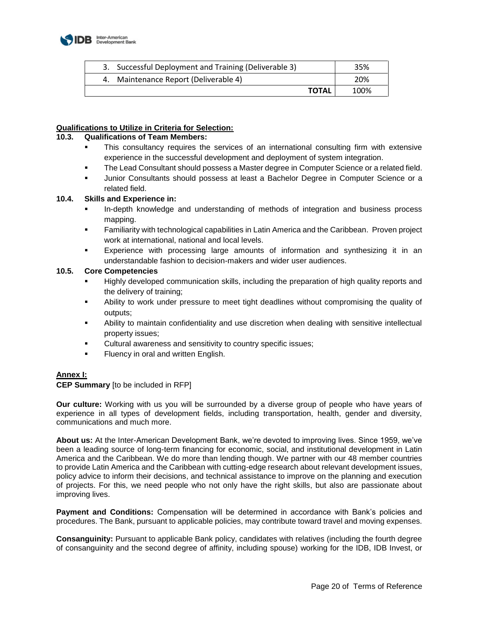

| 3. Successful Deployment and Training (Deliverable 3) | 35%  |
|-------------------------------------------------------|------|
| 4. Maintenance Report (Deliverable 4)                 | 20%  |
| <b>TOTAL</b>                                          | 100% |

## **Qualifications to Utilize in Criteria for Selection:**

## **10.3. Qualifications of Team Members:**

- This consultancy requires the services of an international consulting firm with extensive experience in the successful development and deployment of system integration.
- **The Lead Consultant should possess a Master degree in Computer Science or a related field.**
- Junior Consultants should possess at least a Bachelor Degree in Computer Science or a related field.

## **10.4. Skills and Experience in:**

- In-depth knowledge and understanding of methods of integration and business process mapping.
- **Familiarity with technological capabilities in Latin America and the Caribbean. Proven project** work at international, national and local levels.
- Experience with processing large amounts of information and synthesizing it in an understandable fashion to decision-makers and wider user audiences.

## **10.5. Core Competencies**

- Highly developed communication skills, including the preparation of high quality reports and the delivery of training;
- Ability to work under pressure to meet tight deadlines without compromising the quality of outputs;
- **■** Ability to maintain confidentiality and use discretion when dealing with sensitive intellectual property issues;
- Cultural awareness and sensitivity to country specific issues;
- **•** Fluency in oral and written English.

## **Annex I:**

## **CEP Summary** [to be included in RFP]

**Our culture:** Working with us you will be surrounded by a diverse group of people who have years of experience in all types of development fields, including transportation, health, gender and diversity, communications and much more.

**About us:** At the Inter-American Development Bank, we're devoted to improving lives. Since 1959, we've been a leading source of long-term financing for economic, social, and institutional development in Latin America and the Caribbean. We do more than lending though. We partner with our 48 member countries to provide Latin America and the Caribbean with cutting-edge research about relevant development issues, policy advice to inform their decisions, and technical assistance to improve on the planning and execution of projects. For this, we need people who not only have the right skills, but also are passionate about improving lives.

**Payment and Conditions:** Compensation will be determined in accordance with Bank's policies and procedures. The Bank, pursuant to applicable policies, may contribute toward travel and moving expenses.

**Consanguinity:** Pursuant to applicable Bank policy, candidates with relatives (including the fourth degree of consanguinity and the second degree of affinity, including spouse) working for the IDB, IDB Invest, or